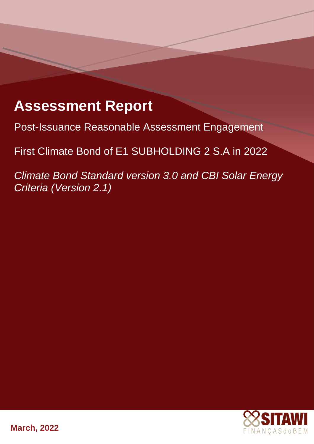# **Assessment Report**

Post-Issuance Reasonable Assessment Engagement

**POST-IST-UST-UST-UST-ISSUANCE ASSESS** First Climate Bond of E1 SUBHOLDING 2 S.A in 2022

 $\sin 20$  and  $\theta$ *Climate Bond Standard version 3.0 and CBI Solar Energy Criteria (Version 2.1)*



**March, 2022**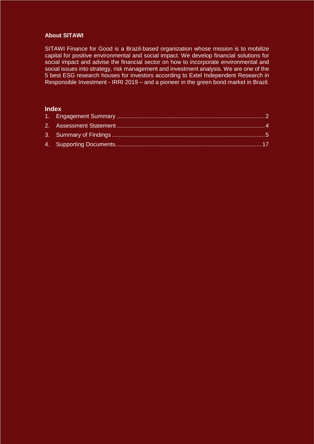# **About SITAWI**

SITAWI Finance for Good is a Brazil-based organization whose mission is to mobilize capital for positive environmental and social impact. We develop financial solutions for social impact and advise the financial sector on how to incorporate environmental and social issues into strategy, risk management and investment analysis. We are one of the 5 best ESG research houses for investors according to Extel Independent Research in Responsible Investment - IRRI 2019 – and a pioneer in the green bond market in Brazil.

# **Index**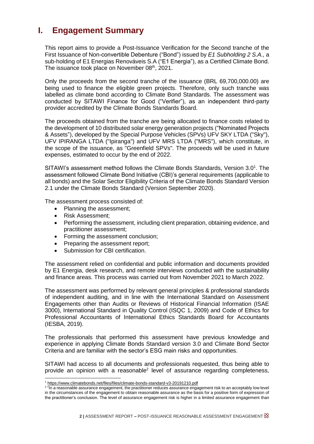# <span id="page-2-0"></span>**I. Engagement Summary**

This report aims to provide a Post-Issuance Verification for the Second tranche of the First Issuance of Non-convertible Debenture ("Bond") issued by *E1 Subholding 2 S.A.,* a sub-holding of E1 Energias Renováveis S.A ("E1 Energia"), as a Certified Climate Bond. The issuance took place on November 08th, 2021.

Only the proceeds from the second tranche of the issuance (BRL 69,700,000.00) are being used to finance the eligible green projects. Therefore, only such tranche was labelled as climate bond according to Climate Bond Standards. The assessment was conducted by SITAWI Finance for Good ("Verifier"), as an independent third-party provider accredited by the Climate Bonds Standards Board.

The proceeds obtained from the tranche are being allocated to finance costs related to the development of 10 distributed solar energy generation projects ("Nominated Projects & Assets"), developed by the Special Purpose Vehicles (SPVs) UFV SKY LTDA ("Sky"), UFV IPIRANGA LTDA ("Ipiranga") and UFV MRS LTDA ("MRS"), which constitute, in the scope of the issuance, as "Greenfield SPVs". The proceeds will be used in future expenses, estimated to occur by the end of 2022.

SITAWI's assessment method follows the Climate Bonds Standards, Version 3.0<sup>1</sup>. The assessment followed Climate Bond Initiative (CBI)'s general requirements (applicable to all bonds) and the Solar Sector Eligibility Criteria of the Climate Bonds Standard Version 2.1 under the Climate Bonds Standard (Version September 2020).

The assessment process consisted of:

- Planning the assessment:
- Risk Assessment;
- Performing the assessment, including client preparation, obtaining evidence, and practitioner assessment;
- Forming the assessment conclusion;
- Preparing the assessment report;
- Submission for CBI certification.

The assessment relied on confidential and public information and documents provided by E1 Energia, desk research, and remote interviews conducted with the sustainability and finance areas. This process was carried out from November 2021 to March 2022.

The assessment was performed by relevant general principles & professional standards of independent auditing, and in line with the International Standard on Assessment Engagements other than Audits or Reviews of Historical Financial Information (ISAE 3000), International Standard in Quality Control (ISQC 1, 2009) and Code of Ethics for Professional Accountants of International Ethics Standards Board for Accountants (IESBA, 2019).

The professionals that performed this assessment have previous knowledge and experience in applying Climate Bonds Standard version 3.0 and Climate Bond Sector Criteria and are familiar with the sector's ESG main risks and opportunities.

SITAWI had access to all documents and professionals requested, thus being able to provide an opinion with a reasonable<sup>2</sup> level of assurance regarding completeness,

<sup>1</sup> <sup>1</sup> <https://www.climatebonds.net/files/files/climate-bonds-standard-v3-20191210.pdf>

<sup>&</sup>lt;sup>2</sup> "In a reasonable assurance engagement, the practitioner reduces assurance engagement risk to an acceptably low level in the circumstances of the engagement to obtain reasonable assurance as the basis for a positive form of expression of the practitioner's conclusion. The level of assurance engagement risk is higher in a limited assurance engagement than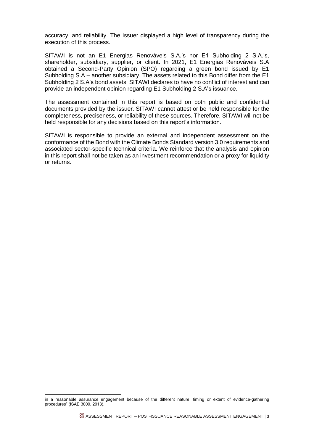accuracy, and reliability. The Issuer displayed a high level of transparency during the execution of this process.

SITAWI is not an E1 Energias Renováveis S.A.'s nor E1 Subholding 2 S.A.'s, shareholder, subsidiary, supplier, or client. In 2021, E1 Energias Renováveis S.A obtained a Second-Party Opinion (SPO) regarding a green bond issued by E1 Subholding S.A – another subsidiary. The assets related to this Bond differ from the E1 Subholding 2 S.A's bond assets. SITAWI declares to have no conflict of interest and can provide an independent opinion regarding E1 Subholding 2 S.A's issuance.

The assessment contained in this report is based on both public and confidential documents provided by the issuer. SITAWI cannot attest or be held responsible for the completeness, preciseness, or reliability of these sources. Therefore, SITAWI will not be held responsible for any decisions based on this report's information.

SITAWI is responsible to provide an external and independent assessment on the conformance of the Bond with the Climate Bonds Standard version 3.0 requirements and associated sector-specific technical criteria. We reinforce that the analysis and opinion in this report shall not be taken as an investment recommendation or a proxy for liquidity or returns.

-

in a reasonable assurance engagement because of the different nature, timing or extent of evidence-gathering procedures" (ISAE 3000, 2013).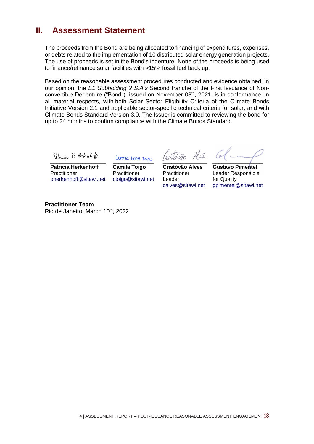# <span id="page-4-0"></span>**II. Assessment Statement**

The proceeds from the Bond are being allocated to financing of expenditures, expenses, or debts related to the implementation of 10 distributed solar energy generation projects. The use of proceeds is set in the Bond's indenture. None of the proceeds is being used to finance/refinance solar facilities with >15% fossil fuel back up.

Based on the reasonable assessment procedures conducted and evidence obtained, in our opinion, the *E1 Subholding 2 S.A's* Second tranche of the First Issuance of Nonconvertible Debenture ("Bond"), issued on November 08<sup>th</sup>, 2021, is in conformance, in all material respects, with both Solar Sector Eligibility Criteria of the Climate Bonds Initiative Version 2.1 and applicable sector-specific technical criteria for solar, and with Climate Bonds Standard Version 3.0. The Issuer is committed to reviewing the bond for up to 24 months to confirm compliance with the Climate Bonds Standard.

Patricia B. Kerkinhoff

 $\overline{\phantom{a}}$ **Patricia Herkenhoff** Practitioner pherkenhoff@sitawi.net

Canila Horst Toigs

**Camila Toigo Practitioner** ctoigo@sitawi.net

 $-$  Al  $\bar{\nu}$ \_\_\_\_\_\_\_\_\_\_\_\_\_\_\_

**Cristóvão Alves Practitioner** Leader calves@sitawi.net

 $\frac{1}{2}$ 

**Gustavo Pimentel** Leader Responsible for Quality [gpimentel@sitawi.net](mailto:gpimentel@sitawi.net) 

**Practitioner Team** Rio de Janeiro, March 10<sup>th</sup>, 2022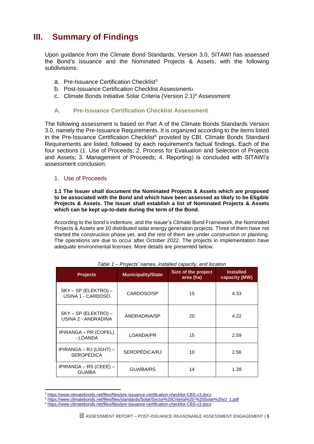# <span id="page-5-0"></span>**III. Summary of Findings**

Upon guidance from the Climate Bond Standards, Version 3.0, SITAWI has assessed the Bond's issuance and the Nominated Projects & Assets, with the following subdivisions:

- a. Pre-Issuance Certification Checklist<sup>3</sup>
- b. Post-Issuance Certification Checklist Assessment4
- c. Climate Bonds Initiative Solar Criteria (Version 2.1) <sup>4</sup> Assessment

# **A. Pre-Issuance Certification Checklist Assessment**

The following assessment is based on Part A of the Climate Bonds Standards Version 3.0, namely the Pre-Issuance Requirements. It is organized according to the items listed in the Pre-Issuance Certification Checklist<sup>5</sup> provided by CBI. Climate Bonds Standard Requirements are listed, followed by each requirement's factual findings. Each of the four sections (1. Use of Proceeds; 2. Process for Evaluation and Selection of Projects and Assets; 3. Management of Proceeds; 4. Reporting) is concluded with SITAWI's assessment conclusion.

# 1. Use of Proceeds

1

**1.1 The Issuer shall document the Nominated Projects & Assets which are proposed to be associated with the Bond and which have been assessed as likely to be Eligible Projects & Assets. The Issuer shall establish a list of Nominated Projects & Assets which can be kept up-to-date during the term of the Bond.**

According to the bond's indenture, and the Issuer's Climate Bond Framework, the Nominated Projects & Assets are 10 distributed solar energy generation projects. Three of them have not started the construction phase yet, and the rest of them are under construction or planning. The operations are due to occur after October 2022. The projects in implementation have adequate environmental licenses. More details are presented below.

| <b>Projects</b>                                | <b>Municipality/State</b> | Size of the project<br>area (ha) | <b>Installed</b><br>capacity (MW) |
|------------------------------------------------|---------------------------|----------------------------------|-----------------------------------|
| SKY - SP (ELEKTRO) -<br>USINA 1 - CARDOSO      | CARDOSO/SP                | 15                               | 4.33                              |
| $SKY - SP$ (ELEKTRO) –<br>USINA 2 - ANDRADINA  | ANDRADINA/SP              |                                  | 4.22                              |
| IPIRANGA – PR (COPEL)<br>LOANDA/PR<br>- LOANDA |                           | 15                               | 2.59                              |
| IPIRANGA – RJ (LIGHT) –<br><b>SEROPÉDICA</b>   | SEROPÉDICA/RJ             | 10                               | 2.56                              |
| IPIRANGA – RS (CEEE) –<br><b>GUAÍBA</b>        | GUAÍBA/RS                 | 14                               | 1.28                              |

*Table 1 – Projects' names, installed capacity, and location*

<sup>3</sup> <https://www.climatebonds.net/files/files/pre-issuance-certification-checklist-CBS-v3.docx>

<sup>4</sup> [https://www.climatebonds.net/files/files/standards/Solar/Sector%20Criteria%20-%20Solar%20v2\\_1.pdf](https://www.climatebonds.net/files/files/standards/Solar/Sector%20Criteria%20-%20Solar%20v2_1.pdf)

<sup>5</sup> <https://www.climatebonds.net/files/files/pre-issuance-certification-checklist-CBS-v3.docx>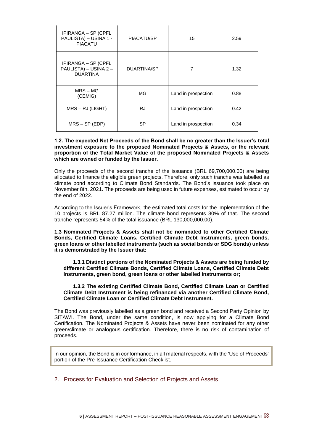| IPIRANGA – SP (CPFL<br>PAULISTA) - USINA 1 -<br><b>PIACATU</b>  | PIACATU/SP  | 15                  | 2.59 |
|-----------------------------------------------------------------|-------------|---------------------|------|
| IPIRANGA – SP (CPFL<br>PAULISTA) - USINA 2 -<br><b>DUARTINA</b> | DUARTINA/SP | 7                   | 1.32 |
| $MRS - MG$<br>(CEMIG)                                           | MG.         | Land in prospection |      |
| $MRS - RJ$ (LIGHT)                                              | <b>RJ</b>   | Land in prospection | 0.42 |
| $MRS - SP (EDP)$                                                | SP          | Land in prospection | 0.34 |

#### **1.2. The expected Net Proceeds of the Bond shall be no greater than the Issuer's total investment exposure to the proposed Nominated Projects & Assets, or the relevant proportion of the Total Market Value of the proposed Nominated Projects & Assets which are owned or funded by the Issuer.**

Only the proceeds of the second tranche of the issuance (BRL 69,700,000.00) are being allocated to finance the eligible green projects. Therefore, only such tranche was labelled as climate bond according to Climate Bond Standards. The Bond's issuance took place on November 8th, 2021. The proceeds are being used in future expenses, estimated to occur by the end of 2022.

According to the Issuer's Framework, the estimated total costs for the implementation of the 10 projects is BRL 87.27 million. The climate bond represents 80% of that. The second tranche represents 54% of the total issuance (BRL 130,000,000.00).

**1.3 Nominated Projects & Assets shall not be nominated to other Certified Climate Bonds, Certified Climate Loans, Certified Climate Debt Instruments, green bonds, green loans or other labelled instruments (such as social bonds or SDG bonds) unless it is demonstrated by the Issuer that:**

**1.3.1 Distinct portions of the Nominated Projects & Assets are being funded by different Certified Climate Bonds, Certified Climate Loans, Certified Climate Debt Instruments, green bond, green loans or other labelled instruments or;**

#### **1.3.2 The existing Certified Climate Bond, Certified Climate Loan or Certified Climate Debt Instrument is being refinanced via another Certified Climate Bond, Certified Climate Loan or Certified Climate Debt Instrument.**

The Bond was previously labelled as a green bond and received a Second Party Opinion by SITAWI. The Bond, under the same condition, is now applying for a Climate Bond Certification. The Nominated Projects & Assets have never been nominated for any other green/climate or analogous certification. Therefore, there is no risk of contamination of proceeds.

In our opinion, the Bond is in conformance, in all material respects, with the 'Use of Proceeds' portion of the Pre-Issuance Certification Checklist.

## 2. Process for Evaluation and Selection of Projects and Assets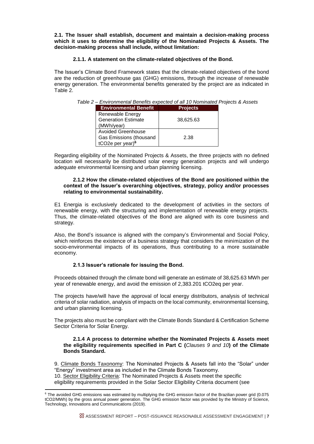**2.1. The Issuer shall establish, document and maintain a decision-making process which it uses to determine the eligibility of the Nominated Projects & Assets. The decision-making process shall include, without limitation:**

#### **2.1.1. A statement on the climate-related objectives of the Bond.**

The Issuer's Climate Bond Framework states that the climate-related objectives of the bond are the reduction of greenhouse gas (GHG) emissions, through the increase of renewable energy generation. The environmental benefits generated by the project are as indicated in Table 2.

| Table 2 – Environmental Benefits expected of all 10 Nominated Projects & Assets |  |  |
|---------------------------------------------------------------------------------|--|--|
|                                                                                 |  |  |
|                                                                                 |  |  |

| <b>Environmental Benefit</b>              | <b>Projects</b> |
|-------------------------------------------|-----------------|
| Renewable Energy                          |                 |
| <b>Generation Estimate</b>                | 38,625.63       |
| (MWh/year)                                |                 |
| <b>Avoided Greenhouse</b>                 |                 |
| Gas Emissions (thousand                   | 2.38            |
| tCO <sub>2</sub> e per year) <sup>6</sup> |                 |

Regarding eligibility of the Nominated Projects & Assets, the three projects with no defined location will necessarily be distributed solar energy generation projects and will undergo adequate environmental licensing and urban planning licensing.

#### **2.1.2 How the climate-related objectives of the Bond are positioned within the context of the Issuer's overarching objectives, strategy, policy and/or processes relating to environmental sustainability.**

E1 Energia is exclusively dedicated to the development of activities in the sectors of renewable energy, with the structuring and implementation of renewable energy projects. Thus, the climate-related objectives of the Bond are aligned with its core business and strategy.

Also, the Bond's issuance is aligned with the company's Environmental and Social Policy, which reinforces the existence of a business strategy that considers the minimization of the socio-environmental impacts of its operations, thus contributing to a more sustainable economy.

## **2.1.3 Issuer's rationale for issuing the Bond.**

Proceeds obtained through the climate bond will generate an estimate of 38,625.63 MWh per year of renewable energy, and avoid the emission of 2,383.201 tCO2eq per year.

The projects have/will have the approval of local energy distributors, analysis of technical criteria of solar radiation, analysis of impacts on the local community, environmental licensing, and urban planning licensing.

The projects also must be compliant with the Climate Bonds Standard & Certification Scheme Sector Criteria for Solar Energy.

#### **2.1.4 A process to determine whether the Nominated Projects & Assets meet the eligibility requirements specified in Part C (***Clauses 9 and 10***) of the Climate Bonds Standard.**

9. Climate Bonds Taxonomy: The Nominated Projects & Assets fall into the "Solar" under "Energy" investment area as included in the Climate Bonds Taxonomy.

10. Sector Eligibility Criteria: The Nominated Projects & Assets meet the specific

1

eligibility requirements provided in the Solar Sector Eligibility Criteria document (see

<sup>&</sup>lt;sup>6</sup> The avoided GHG emissions was estimated by multiplying the GHG emission factor of the Brazilian power grid (0.075 tCO2/MWh) by the gross annual power generation. The GHG emission factor was provided by the Ministry of Science, Technology, Innovations and Communications (2019).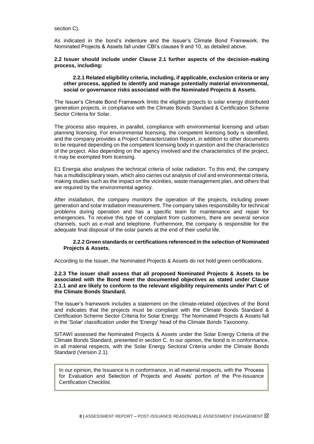section C).

As indicated in the bond's indenture and the Issuer's Climate Bond Framework, the Nominated Projects & Assets fall under CBI's clauses 9 and 10, as detailed above.

#### **2.2 Issuer should include under Clause 2.1 further aspects of the decision-making process, including:**

#### **2.2.1 Related eligibility criteria, including, if applicable, exclusion criteria or any other process, applied to identify and manage potentially material environmental, social or governance risks associated with the Nominated Projects & Assets.**

The Issuer's Climate Bond Framework limits the eligible projects to solar energy distributed generation projects, in compliance with the Climate Bonds Standard & Certification Scheme Sector Criteria for Solar.

The process also requires, in parallel, compliance with environmental licensing and urban planning licensing. For environmental licensing, the competent licensing body is identified, and the company provides a Project Characterization Report, in addition to other documents to be required depending on the competent licensing body in question and the characteristics of the project. Also depending on the agency involved and the characteristics of the project, it may be exempted from licensing.

E1 Energia also analyses the technical criteria of solar radiation. To this end, the company has a multidisciplinary team, which also carries out analysis of civil and environmental criteria, making studies such as the impact on the vicinities, waste management plan, and others that are required by the environmental agency.

After installation, the company monitors the operation of the projects, including power generation and solar irradiation measurement. The company takes responsibility for technical problems during operation and has a specific team for maintenance and repair for emergencies. To receive this type of complaint from customers, there are several service channels, such as e-mail and telephone. Furthermore, the company is responsible for the adequate final disposal of the solar panels at the end of their useful life.

#### **2.2.2 Green standards or certifications referenced in the selection of Nominated Projects & Assets.**

According to the Issuer, the Nominated Projects & Assets do not hold green certifications.

#### **2.2.3 The issuer shall assess that all proposed Nominated Projects & Assets to be associated with the Bond meet the documented objectives as stated under Clause 2.1.1 and are likely to conform to the relevant eligibility requirements under Part C of the Climate Bonds Standard.**

The Issuer's framework includes a statement on the climate-related objectives of the Bond and indicates that the projects must be compliant with the Climate Bonds Standard & Certification Scheme Sector Criteria for Solar Energy. The Nominated Projects & Assets fall in the 'Solar' classification under the 'Energy' head of the Climate Bonds Taxonomy.

SITAWI assessed the Nominated Projects & Assets under the Solar Energy Criteria of the Climate Bonds Standard, presented in section C. In our opinion, the bond is in conformance, in all material respects, with the Solar Energy Sectoral Criteria under the Climate Bonds Standard (Version 2.1).

In our opinion, the Issuance is in conformance, in all material respects, with the 'Process for Evaluation and Selection of Projects and Assets' portion of the Pre-Issuance Certification Checklist.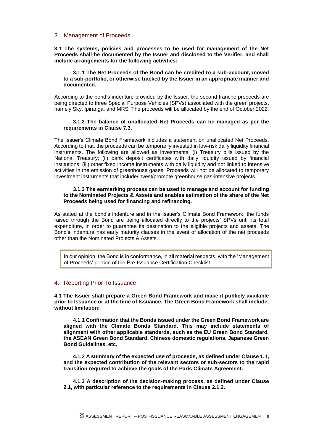#### 3. Management of Proceeds

**3.1 The systems, policies and processes to be used for management of the Net Proceeds shall be documented by the Issuer and disclosed to the Verifier, and shall include arrangements for the following activities:**

#### **3.1.1 The Net Proceeds of the Bond can be credited to a sub-account, moved to a sub-portfolio, or otherwise tracked by the Issuer in an appropriate manner and documented.**

According to the bond's indenture provided by the Issuer, the second tranche proceeds are being directed to three Special Purpose Vehicles (SPVs) associated with the green projects, namely Sky, Ipiranga, and MRS. The proceeds will be allocated by the end of October 2022.

#### **3.1.2 The balance of unallocated Net Proceeds can be managed as per the requirements in Clause 7.3.**

The Issuer's Climate Bond Framework includes a statement on unallocated Net Proceeds. According to that, the proceeds can be temporarily invested in low-risk daily liquidity financial instruments. The following are allowed as investments: (i) Treasury bills issued by the National Treasury; (ii) bank deposit certificates with daily liquidity issued by financial institutions; (iii) other fixed income instruments with daily liquidity and not linked to intensive activities in the emission of greenhouse gases. Proceeds will not be allocated to temporary investment instruments that include/invest/promote greenhouse gas-intensive projects.

#### **3.1.3 The earmarking process can be used to manage and account for funding to the Nominated Projects & Assets and enables estimation of the share of the Net Proceeds being used for financing and refinancing.**

As stated at the bond's indenture and in the Issuer's Climate Bond Framework, the funds raised through the Bond are being allocated directly to the projects' SPVs until its total expenditure, in order to guarantee its destination to the eligible projects and assets. The Bond's indenture has early maturity clauses in the event of allocation of the net proceeds other than the Nominated Projects & Assets.

In our opinion, the Bond is in conformance, in all material respects, with the 'Management of Proceeds' portion of the Pre-Issuance Certification Checklist.

#### <span id="page-9-0"></span>4. Reporting Prior To Issuance

**4.1 The Issuer shall prepare a Green Bond Framework and make it publicly available prior to Issuance or at the time of Issuance. The Green Bond Framework shall include, without limitation:**

**4.1.1 Confirmation that the Bonds issued under the Green Bond Framework are aligned with the Climate Bonds Standard. This may include statements of alignment with other applicable standards, such as the EU Green Bond Standard, the ASEAN Green Bond Standard, Chinese domestic regulations, Japanese Green Bond Guidelines, etc.**

**4.1.2 A summary of the expected use of proceeds, as defined under Clause 1.1, and the expected contribution of the relevant sectors or sub-sectors to the rapid transition required to achieve the goals of the Paris Climate Agreement.**

**4.1.3 A description of the decision-making process, as defined under Clause 2.1, with particular reference to the requirements in Clause 2.1.2.**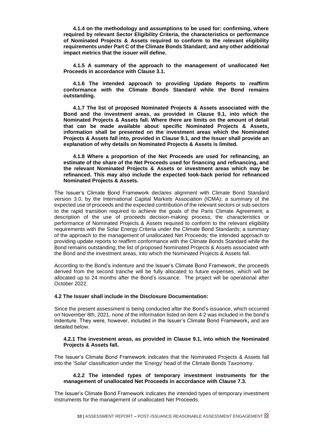**4.1.4 on the methodology and assumptions to be used for: confirming, where required by relevant Sector Eligibility Criteria, the characteristics or performance of Nominated Projects & Assets required to conform to the relevant eligibility requirements under Part C of the Climate Bonds Standard; and any other additional impact metrics that the issuer will define.**

**4.1.5 A summary of the approach to the management of unallocated Net Proceeds in accordance with Clause 3.1.**

**4.1.6 The intended approach to providing Update Reports to reaffirm conformance with the Climate Bonds Standard while the Bond remains outstanding.**

**4.1.7 The list of proposed Nominated Projects & Assets associated with the Bond and the investment areas, as provided in Clause 9.1, into which the Nominated Projects & Assets fall. Where there are limits on the amount of detail that can be made available about specific Nominated Projects & Assets, information shall be presented on the investment areas which the Nominated Projects & Assets fall into, provided in Clause 9.1, and the Issuer shall provide an explanation of why details on Nominated Projects & Assets is limited.**

**4.1.8 Where a proportion of the Net Proceeds are used for refinancing, an estimate of the share of the Net Proceeds used for financing and refinancing, and the relevant Nominated Projects & Assets or investment areas which may be refinanced. This may also include the expected look-back period for refinanced Nominated Projects & Assets.**

The Issuer's Climate Bond Framework declares alignment with Climate Bond Standard version 3.0, by the International Capital Markets Association (ICMA); a summary of the expected use of proceeds and the expected contribution of the relevant sectors or sub-sectors to the rapid transition required to achieve the goals of the Paris Climate Agreement; a description of the use of proceeds decision-making process; the characteristics or performance of Nominated Projects & Assets required to conform to the relevant eligibility requirements with the Solar Energy Criteria under the Climate Bond Standards; a summary of the approach to the management of unallocated Net Proceeds; the intended approach to providing update reports to reaffirm conformance with the Climate Bonds Standard while the Bond remains outstanding; the list of proposed Nominated Projects & Assets associated with the Bond and the investment areas, into which the Nominated Projects & Assets fall.

According to the Bond's indenture and the Issuer's Climate Bond Framework, the proceeds derived from the second tranche will be fully allocated to future expenses, which will be allocated up to 24 months after the Bond's issuance. The project will be operational after October 2022.

#### **4.2 The Issuer shall include in the Disclosure Documentation:**

Since the present assessment is being conducted after the Bond's issuance, which occurred on November 8th, 2021, none of the information listed on item 4.2 was included in the bond's indenture. They were, however, included in the Issuer's Climate Bond Framework**,** and are detailed below.

#### **4.2.1 The investment areas, as provided in Clause 9.1, into which the Nominated Projects & Assets fall.**

The Issuer's Climate Bond Framework indicates that the Nominated Projects & Assets fall into the 'Solar' classification under the 'Energy' head of the Climate Bonds Taxonomy.

#### **4.2.2 The intended types of temporary investment instruments for the management of unallocated Net Proceeds in accordance with Clause 7.3.**

The Issuer's Climate Bond Framework indicates the intended types of temporary investment instruments for the management of unallocated Net Proceeds.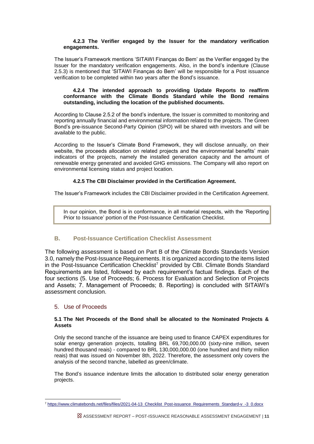#### **4.2.3 The Verifier engaged by the Issuer for the mandatory verification engagements.**

The Issuer's Framework mentions 'SITAWI Finanças do Bem' as the Verifier engaged by the Issuer for the mandatory verification engagements. Also, in the bond's indenture (Clause 2.5.3) is mentioned that 'SITAWI Finanças do Bem' will be responsible for a Post issuance verification to be completed within two years after the Bond's issuance.

#### **4.2.4 The intended approach to providing Update Reports to reaffirm conformance with the Climate Bonds Standard while the Bond remains outstanding, including the location of the published documents.**

According to Clause 2.5.2 of the bond's indenture, the Issuer is committed to monitoring and reporting annually financial and environmental information related to the projects. The Green Bond's pre-issuance Second-Party Opinion (SPO) will be shared with investors and will be available to the public.

According to the Issuer's Climate Bond Framework, they will disclose annually, on their website, the proceeds allocation on related projects and the environmental benefits' main indicators of the projects, namely the installed generation capacity and the amount of renewable energy generated and avoided GHG emissions. The Company will also report on environmental licensing status and project location.

# **4.2.5 The CBI Disclaimer provided in the Certification Agreement.**

The Issuer's Framework includes the CBI Disclaimer provided in the Certification Agreement.

In our opinion, the Bond is in conformance, in all material respects, with the 'Reporting Prior to Issuance' portion of the Post-Issuance Certification Checklist.

# **B. Post-Issuance Certification Checklist Assessment**

The following assessment is based on Part B of the Climate Bonds Standards Version 3.0, namely the Post-Issuance Requirements. It is organized according to the items listed in the Post-Issuance Certification Checklist<sup>7</sup> provided by CBI. Climate Bonds Standard Requirements are listed, followed by each requirement's factual findings. Each of the four sections (5. Use of Proceeds; 6. Process for Evaluation and Selection of Projects and Assets; 7. Management of Proceeds; 8. Reporting) is concluded with SITAWI's assessment conclusion.

# 5. Use of Proceeds

1

#### **5.1 The Net Proceeds of the Bond shall be allocated to the Nominated Projects & Assets**

Only the second tranche of the issuance are being used to finance CAPEX expenditures for solar energy generation projects, totalling BRL 69,700,000.00 (sixty-nine million, seven hundred thousand reais) - compared to BRL 130,000,000.00 (one hundred and thirty million reais) that was issued on November 8th, 2022. Therefore, the assessment only covers the analysis of the second tranche, labelled as green/climate.

The Bond's issuance indenture limits the allocation to distributed solar energy generation projects.

<sup>7</sup> [https://www.climatebonds.net/files/files/2021-04-13\\_Checklist\\_Post-issuance\\_Requirements\\_Standard-v\\_-3\\_0.docx](https://www.climatebonds.net/files/files/2021-04-13_Checklist_Post-issuance_Requirements_Standard-v_-3_0.docx)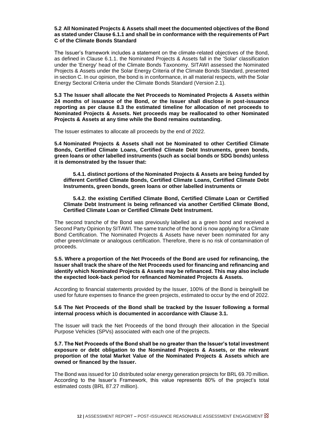#### **5.2 All Nominated Projects & Assets shall meet the documented objectives of the Bond as stated under Clause 6.1.1 and shall be in conformance with the requirements of Part C of the Climate Bonds Standard**

The Issuer's framework includes a statement on the climate-related objectives of the Bond, as defined in Clause 6.1.1. the Nominated Projects & Assets fall in the 'Solar' classification under the 'Energy' head of the Climate Bonds Taxonomy. SITAWI assessed the Nominated Projects & Assets under the Solar Energy Criteria of the Climate Bonds Standard, presented in section C. In our opinion, the bond is in conformance, in all material respects, with the Solar Energy Sectoral Criteria under the Climate Bonds Standard (Version 2.1).

**5.3 The Issuer shall allocate the Net Proceeds to Nominated Projects & Assets within 24 months of issuance of the Bond, or the Issuer shall disclose in post-issuance reporting as per clause 8.3 the estimated timeline for allocation of net proceeds to Nominated Projects & Assets. Net proceeds may be reallocated to other Nominated Projects & Assets at any time while the Bond remains outstanding.**

The Issuer estimates to allocate all proceeds by the end of 2022.

**5.4 Nominated Projects & Assets shall not be Nominated to other Certified Climate Bonds, Certified Climate Loans, Certified Climate Debt Instruments, green bonds, green loans or other labelled instruments (such as social bonds or SDG bonds) unless it is demonstrated by the Issuer that:**

**5.4.1. distinct portions of the Nominated Projects & Assets are being funded by different Certified Climate Bonds, Certified Climate Loans, Certified Climate Debt Instruments, green bonds, green loans or other labelled instruments or**

**5.4.2. the existing Certified Climate Bond, Certified Climate Loan or Certified Climate Debt Instrument is being refinanced via another Certified Climate Bond, Certified Climate Loan or Certified Climate Debt Instrument.**

The second tranche of the Bond was previously labelled as a green bond and received a Second Party Opinion by SITAWI. The same tranche of the bond is now applying for a Climate Bond Certification. The Nominated Projects & Assets have never been nominated for any other green/climate or analogous certification. Therefore, there is no risk of contamination of proceeds.

#### **5.5. Where a proportion of the Net Proceeds of the Bond are used for refinancing, the Issuer shall track the share of the Net Proceeds used for financing and refinancing and identify which Nominated Projects & Assets may be refinanced. This may also include the expected look-back period for refinanced Nominated Projects & Assets.**

According to financial statements provided by the Issuer, 100% of the Bond is being/will be used for future expenses to finance the green projects, estimated to occur by the end of 2022.

#### **5.6 The Net Proceeds of the Bond shall be tracked by the Issuer following a formal internal process which is documented in accordance with Clause 3.1.**

The Issuer will track the Net Proceeds of the bond through their allocation in the Special Purpose Vehicles (SPVs) associated with each one of the projects.

#### **5.7. The Net Proceeds of the Bond shall be no greater than the Issuer's total investment exposure or debt obligation to the Nominated Projects & Assets, or the relevant proportion of the total Market Value of the Nominated Projects & Assets which are owned or financed by the Issuer.**

The Bond was issued for 10 distributed solar energy generation projects for BRL 69.70 million. According to the Issuer's Framework, this value represents 80% of the project's total estimated costs (BRL 87.27 million).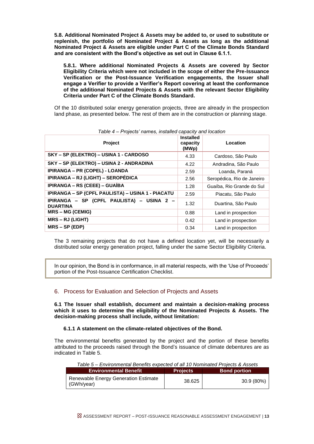**5.8. Additional Nominated Project & Assets may be added to, or used to substitute or replenish, the portfolio of Nominated Project & Assets as long as the additional Nominated Project & Assets are eligible under Part C of the Climate Bonds Standard and are consistent with the Bond's objective as set out in Clause 6.1.1.**

**5.8.1. Where additional Nominated Projects & Assets are covered by Sector Eligibility Criteria which were not included in the scope of either the Pre-Issuance Verification or the Post-Issuance Verification engagements, the Issuer shall engage a Verifier to provide a Verifier's Report covering at least the conformance of the additional Nominated Projects & Assets with the relevant Sector Eligibility Criteria under Part C of the Climate Bonds Standard.**

Of the 10 distributed solar energy generation projects, three are already in the prospection land phase, as presented below. The rest of them are in the construction or planning stage.

| <b>Project</b>                                               | <b>Installed</b><br>capacity<br>(MWp) | Location                   |
|--------------------------------------------------------------|---------------------------------------|----------------------------|
| SKY - SP (ELEKTRO) - USINA 1 - CARDOSO                       | 4.33                                  | Cardoso, São Paulo         |
| SKY - SP (ELEKTRO) - USINA 2 - ANDRADINA                     | 4.22                                  | Andradina, São Paulo       |
| IPIRANGA - PR (COPEL) - LOANDA                               | 2.59                                  | Loanda, Paraná             |
| IPIRANGA – RJ (LIGHT) – SEROPÉDICA                           | 2.56                                  | Seropédica, Rio de Janeiro |
| IPIRANGA – RS (CEEE) – GUAÍBA                                | 1.28                                  | Guaíba, Rio Grande do Sul  |
| IPIRANGA - SP (CPFL PAULISTA) - USINA 1 - PIACATU            | 2.59                                  | Piacatu, São Paulo         |
| IPIRANGA - SP (CPFL PAULISTA) - USINA 2 -<br><b>DUARTINA</b> | 1.32                                  | Duartina, São Paulo        |
| <b>MRS-MG (CEMIG)</b>                                        | 0.88                                  | Land in prospection        |
| <b>MRS – RJ (LIGHT)</b>                                      | 0.42                                  | Land in prospection        |
| $MRS - SP (EDP)$                                             | 0.34                                  | Land in prospection        |

*Table 4 – Projects' names, installed capacity and location*

The 3 remaining projects that do not have a defined location yet, will be necessarily a distributed solar energy generation project, falling under the same Sector Eligibility Criteria.

In our opinion, the Bond is in conformance, in all material respects, with the 'Use of Proceeds' portion of the Post-Issuance Certification Checklist.

## 6. Process for Evaluation and Selection of Projects and Assets

**6.1 The Issuer shall establish, document and maintain a decision-making process which it uses to determine the eligibility of the Nominated Projects & Assets. The decision-making process shall include, without limitation:**

#### **6.1.1 A statement on the climate-related objectives of the Bond.**

The environmental benefits generated by the project and the portion of these benefits attributed to the proceeds raised through the Bond's issuance of climate debentures are as indicated in Table 5.

| Table 5 – Environmental Benefits expected of all 10 Nominated Projects & Assets |                 |                     |
|---------------------------------------------------------------------------------|-----------------|---------------------|
| <b>Environmental Benefit</b>                                                    | <b>Projects</b> | <b>Bond portion</b> |
| Renewable Energy Generation Estimate<br>(GWh/year)                              | 38.625          | 30.9 (80%)          |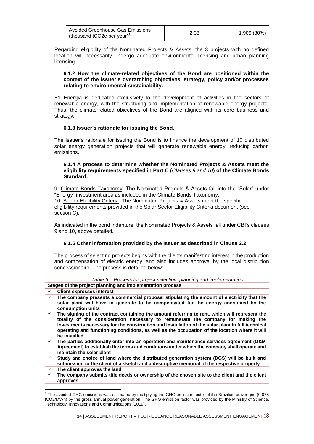Regarding eligibility of the Nominated Projects & Assets, the 3 projects with no defined location will necessarily undergo adequate environmental licensing and urban planning licensing.

#### **6.1.2 How the climate-related objectives of the Bond are positioned within the context of the Issuer's overarching objectives, strategy, policy and/or processes relating to environmental sustainability.**

E1 Energia is dedicated exclusively to the development of activities in the sectors of renewable energy, with the structuring and implementation of renewable energy projects. Thus, the climate-related objectives of the Bond are aligned with its core business and strategy.

## **6.1.3 Issuer's rationale for issuing the Bond.**

The Issuer's rationale for issuing the Bond is to finance the development of 10 distributed solar energy generation projects that will generate renewable energy, reducing carbon emissions.

#### **6.1.4 A process to determine whether the Nominated Projects & Assets meet the eligibility requirements specified in Part C (***Clauses 9 and 10***) of the Climate Bonds Standard.**

9. Climate Bonds Taxonomy: The Nominated Projects & Assets fall into the "Solar" under "Energy" investment area as included in the Climate Bonds Taxonomy. 10. Sector Eligibility Criteria: The Nominated Projects & Assets meet the specific eligibility requirements provided in the Solar Sector Eligibility Criteria document (see section C).

As indicated in the bond indenture, the Nominated Projects & Assets fall under CBI's clauses 9 and 10, above detailed.

## **6.1.5 Other information provided by the Issuer as described in Clause 2.2**

The process of selecting projects begins with the clients manifesting interest in the production and compensation of electric energy, and also includes approval by the local distribution concessionaire. The process is detailed below:

|  |  |                                                                                                                                                                                                                                   | Table 6 – Process for project selection, planning and implementation |
|--|--|-----------------------------------------------------------------------------------------------------------------------------------------------------------------------------------------------------------------------------------|----------------------------------------------------------------------|
|  |  | $\mathbf{r}$ , and the contract of the contract of the contract of the contract of the contract of the contract of the contract of the contract of the contract of the contract of the contract of the contract of the contract o |                                                                      |

|              | Stages of the project planning and implementation process                                                                                                                                                                                                                                                                                                                                              |
|--------------|--------------------------------------------------------------------------------------------------------------------------------------------------------------------------------------------------------------------------------------------------------------------------------------------------------------------------------------------------------------------------------------------------------|
| ✓            | <b>Client expresses interest</b>                                                                                                                                                                                                                                                                                                                                                                       |
| $\checkmark$ | The company presents a commercial proposal stipulating the amount of electricity that the<br>solar plant will have to generate to be compensated for the energy consumed by the<br>consumption units                                                                                                                                                                                                   |
| $\checkmark$ | The signing of the contract containing the amount referring to rent, which will represent the<br>totality of the consideration necessary to remunerate the company for making the<br>investments necessary for the construction and installation of the solar plant in full technical<br>operating and functioning conditions, as well as the occupation of the location where it will<br>be installed |
| $\checkmark$ | The parties additionally enter into an operation and maintenance services agreement (O&M<br>Agreement) to establish the terms and conditions under which the company shall operate and<br>maintain the solar plant                                                                                                                                                                                     |
| $\checkmark$ | Study and choice of land where the distributed generation system (DGS) will be built and<br>submission to the client of a sketch and a descriptive memorial of the respective property                                                                                                                                                                                                                 |
| $\checkmark$ | The client approves the land                                                                                                                                                                                                                                                                                                                                                                           |
| ✓            | The company submits title deeds or ownership of the chosen site to the client and the client<br>approves                                                                                                                                                                                                                                                                                               |

<sup>&</sup>lt;sup>8</sup> The avoided GHG emissions was estimated by multiplying the GHG emission factor of the Brazilian power grid (0.075 tCO2/MWh) by the gross annual power generation. The GHG emission factor was provided by the Ministry of Science, Technology, Innovations and Communications (2019).

1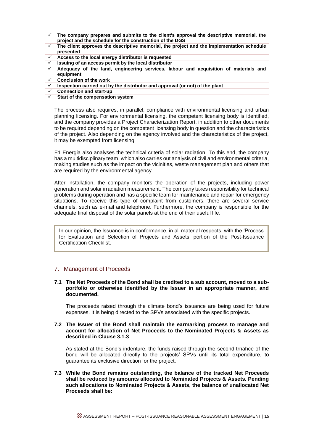- ✓ **The company prepares and submits to the client's approval the descriptive memorial, the project and the schedule for the construction of the DGS**
- ✓ **The client approves the descriptive memorial, the project and the implementation schedule presented**
- ✓ **Access to the local energy distributor is requested**
- ✓ **Issuing of an access permit by the local distributor**
- ✓ **Adequacy of the land, engineering services, labour and acquisition of materials and equipment**
- ✓ **Conclusion of the work**
- Inspection carried out by the distributor and approval (or not) of the plant
- ✓ **Connection and start-up**
- **Start of the compensation system**

The process also requires, in parallel, compliance with environmental licensing and urban planning licensing. For environmental licensing, the competent licensing body is identified, and the company provides a Project Characterization Report, in addition to other documents to be required depending on the competent licensing body in question and the characteristics of the project. Also depending on the agency involved and the characteristics of the project, it may be exempted from licensing.

E1 Energia also analyses the technical criteria of solar radiation. To this end, the company has a multidisciplinary team, which also carries out analysis of civil and environmental criteria, making studies such as the impact on the vicinities, waste management plan and others that are required by the environmental agency.

After installation, the company monitors the operation of the projects, including power generation and solar irradiation measurement. The company takes responsibility for technical problems during operation and has a specific team for maintenance and repair for emergency situations. To receive this type of complaint from customers, there are several service channels, such as e-mail and telephone. Furthermore, the company is responsible for the adequate final disposal of the solar panels at the end of their useful life.

In our opinion, the Issuance is in conformance, in all material respects, with the 'Process for Evaluation and Selection of Projects and Assets' portion of the Post-Issuance Certification Checklist.

#### 7. Management of Proceeds

#### **7.1 The Net Proceeds of the Bond shall be credited to a sub account, moved to a subportfolio or otherwise identified by the Issuer in an appropriate manner, and documented.**

The proceeds raised through the climate bond's issuance are being used for future expenses. It is being directed to the SPVs associated with the specific projects.

#### **7.2 The Issuer of the Bond shall maintain the earmarking process to manage and account for allocation of Net Proceeds to the Nominated Projects & Assets as described in Clause 3.1.3**

As stated at the Bond's indenture, the funds raised through the second trnahce of the bond will be allocated directly to the projects' SPVs until its total expenditure, to guarantee its exclusive direction for the project.

**7.3 While the Bond remains outstanding, the balance of the tracked Net Proceeds shall be reduced by amounts allocated to Nominated Projects & Assets. Pending such allocations to Nominated Projects & Assets, the balance of unallocated Net Proceeds shall be:**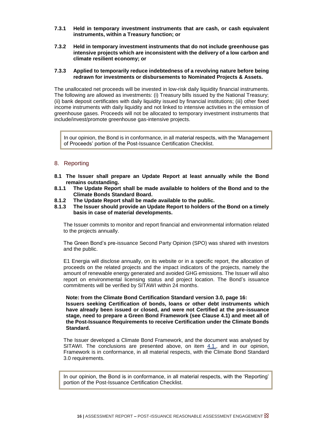- **7.3.1 Held in temporary investment instruments that are cash, or cash equivalent instruments, within a Treasury function; or**
- **7.3.2 Held in temporary investment instruments that do not include greenhouse gas intensive projects which are inconsistent with the delivery of a low carbon and climate resilient economy; or**

#### **7.3.3 Applied to temporarily reduce indebtedness of a revolving nature before being redrawn for investments or disbursements to Nominated Projects & Assets.**

The unallocated net proceeds will be invested in low-risk daily liquidity financial instruments. The following are allowed as investments: (i) Treasury bills issued by the National Treasury; (ii) bank deposit certificates with daily liquidity issued by financial institutions; (iii) other fixed income instruments with daily liquidity and not linked to intensive activities in the emission of greenhouse gases. Proceeds will not be allocated to temporary investment instruments that include/invest/promote greenhouse gas-intensive projects.

In our opinion, the Bond is in conformance, in all material respects, with the 'Management of Proceeds' portion of the Post-Issuance Certification Checklist.

#### 8. Reporting

- **8.1 The Issuer shall prepare an Update Report at least annually while the Bond remains outstanding.**
- **8.1.1 The Update Report shall be made available to holders of the Bond and to the Climate Bonds Standard Board.**
- **8.1.2 The Update Report shall be made available to the public.**
- **8.1.3 The Issuer should provide an Update Report to holders of the Bond on a timely basis in case of material developments.**

The Issuer commits to monitor and report financial and environmental information related to the projects annually.

The Green Bond's pre-issuance Second Party Opinion (SPO) was shared with investors and the public.

E1 Energia will disclose annually, on its website or in a specific report, the allocation of proceeds on the related projects and the impact indicators of the projects, namely the amount of renewable energy generated and avoided GHG emissions. The Issuer will also report on environmental licensing status and project location. The Bond's issuance commitments will be verified by SITAWI within 24 months.

#### **Note: from the Climate Bond Certification Standard version 3.0, page 16: Issuers seeking Certification of bonds, loans or other debt instruments which have already been issued or closed, and were not Certified at the pre-issuance stage, need to prepare a Green Bond Framework (see Clause 4.1) and meet all of the Post-Issuance Requirements to receive Certification under the Climate Bonds Standard.**

The Issuer developed a Climate Bond Framework, and the document was analysed by SITAWI. The conclusions are presented above, on item  $4.1$ , and in our opinion, Framework is in conformance, in all material respects, with the Climate Bond Standard 3.0 requirements.

In our opinion, the Bond is in conformance, in all material respects, with the 'Reporting' portion of the Post-Issuance Certification Checklist.